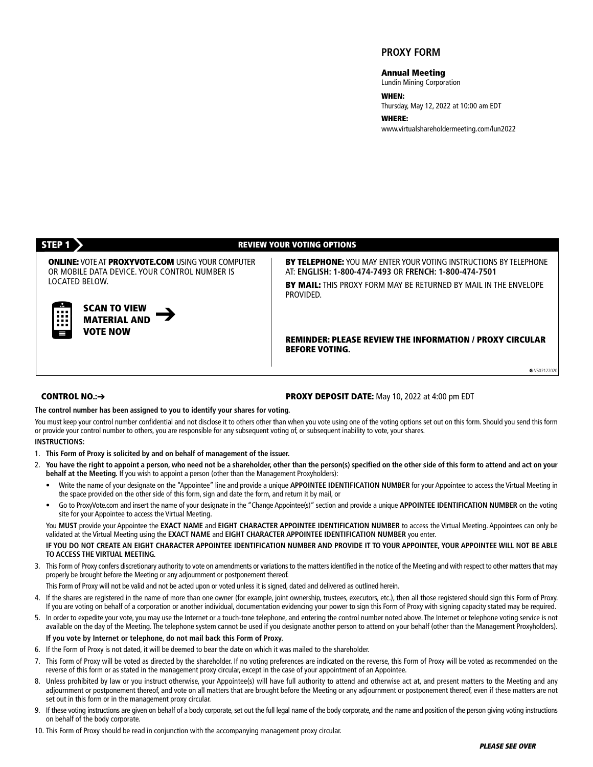## **PROXY FORM**

#### **Annual Meeting**

Lundin Mining Corporation

## **WHEN:**

Thursday, May 12, 2022 at 10:00 am EDT

**WHERE:** www.virtualshareholdermeeting.com/lun2022

**SCAN TO VIEW MATERIAL AND VOTE NOW**

#### **STEP 1 REVIEW YOUR VOTING OPTIONS**

**ONLINE:** VOTEAT **PROXYVOTE.COM** USINGYOUR COMPUTER OR MOBILE DATA DEVICE. YOUR CONTROL NUMBER IS LOCATED BELOW.

**BY TELEPHONE:** YOU MAY ENTER YOUR VOTING INSTRUCTIONS BY TELEPHONE AT: **ENGLISH: 1-800-474-7493** OR **FRENCH: 1-800-474-7501**

**BY MAIL:** THIS PROXY FORM MAY BE RETURNED BY MAIL IN THE ENVELOPE PROVIDED.

**REMINDER: PLEASE REVIEW THE INFORMATION / PROXY CIRCULAR BEFORE VOTING.**

**G**-V502122020

### **CONTROL NO.:**➔

#### **PROXY DEPOSIT DATE:** May 10, 2022 at 4:00 pm EDT

**The control number has been assigned to you to identify your shares for voting.**

You must keep your control number confidential and not disclose it to others other than when you vote using one of the voting options set out on this form. Should you send this form or provide your control number to others, you are responsible for any subsequent voting of, or subsequent inability to vote, your shares.

### **INSTRUCTIONS:**

- 1. **This Form of Proxy is solicited by and on behalf of management of the issuer.**
- 2. You have the right to appoint a person, who need not be a shareholder, other than the person(s) specified on the other side of this form to attend and act on your **behalf at the Meeting.** If you wish to appoint a person (other than the Management Proxyholders):
	- Write the name of your designate on the "Appointee" line and provide a unique **APPOINTEE IDENTIFICATION NUMBER** for your Appointee to access the Virtual Meeting in the space provided on the other side of this form, sign and date the form, and return it by mail, or
	- Go to ProxyVote.com and insert the name of your designate in the "Change Appointee(s)" section and provide a unique **APPOINTEE IDENTIFICATION NUMBER** on the voting site for your Appointee to access the Virtual Meeting.

You **MUST** provide your Appointee the **EXACT NAME** and **EIGHT CHARACTER APPOINTEE IDENTIFICATION NUMBER** to access the Virtual Meeting. Appointees can only be validated at the Virtual Meeting using the **EXACT NAME** and **EIGHT CHARACTER APPOINTEE IDENTIFICATION NUMBER** you enter.

#### IF YOU DO NOT CREATE AN EIGHT CHARACTER APPOINTEE IDENTIFICATION NUMBER AND PROVIDE IT TO YOUR APPOINTEE, YOUR APPOINTEE WILL NOT BE ABLE **TO ACCESS THE VIRTUAL MEETING.**

3. This Form of Proxy confers discretionary authority to vote on amendments or variations to the matters identified in the notice of the Meeting and with respect to other matters that may properly be brought before the Meeting or any adjournment or postponement thereof.

This Form of Proxy will not be valid and not be acted upon or voted unless it is signed, dated and delivered as outlined herein.

- 4. If the shares are registered in the name of more than one owner (for example, joint ownership, trustees, executors, etc.), then all those registered should sign this Form of Proxy. If you are voting on behalf of a corporation or another individual, documentation evidencing your power to sign this Form of Proxy with signing capacity stated may be required.
- 5. In order to expedite your vote, you may use the Internet or a touch-tone telephone, and entering the control number noted above. The Internet or telephone voting service is not available on the day of the Meeting. The telephone system cannot be used if you designate another person to attend on your behalf (other than the Management Proxyholders). **If you vote by Internet or telephone, do not mail back this Form of Proxy.**
- 6. If the Form of Proxy is not dated, it will be deemed to bear the date on which it was mailed to the shareholder.
- 7. This Form of Proxy will be voted as directed by the shareholder. If no voting preferences are indicated on the reverse, this Form of Proxy will be voted as recommended on the reverse of this form or as stated in the management proxy circular, except in the case of your appointment of an Appointee.
- 8. Unless prohibited by law or you instruct otherwise, your Appointee(s) will have full authority to attend and otherwise act at, and present matters to the Meeting and any adjournment or postponement thereof, and vote on all matters that are brought before the Meeting or any adjournment or postponement thereof, even if these matters are not set out in this form or in the management proxy circular.
- 9. If these voting instructions are given on behalf of a body corporate, set out the full legal name of the body corporate, and the name and position of the person giving voting instructions on behalf of the body corporate.
- 10. This Form of Proxy should be read in conjunction with the accompanying management proxy circular.